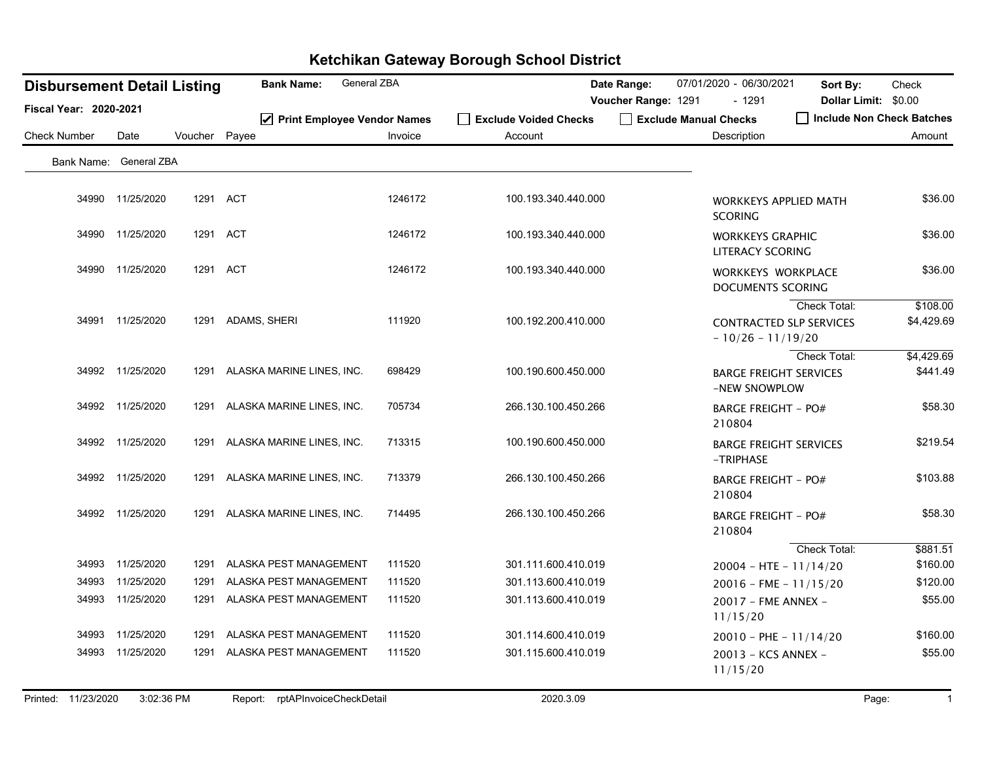| <b>Disbursement Detail Listing</b> |                  |               | <b>Bank Name:</b>              | General ZBA |                                  | Date Range:         | 07/01/2020 - 06/30/2021                        | Sort By:                                       | Check                  |
|------------------------------------|------------------|---------------|--------------------------------|-------------|----------------------------------|---------------------|------------------------------------------------|------------------------------------------------|------------------------|
| <b>Fiscal Year: 2020-2021</b>      |                  |               |                                |             |                                  | Voucher Range: 1291 | $-1291$                                        | Dollar Limit: \$0.00                           |                        |
| <b>Check Number</b>                | Date             | Voucher Payee | ☑ Print Employee Vendor Names  | Invoice     | Exclude Voided Checks<br>Account |                     | Exclude Manual Checks<br>Description           | Include Non Check Batches                      | Amount                 |
|                                    |                  |               |                                |             |                                  |                     |                                                |                                                |                        |
| Bank Name: General ZBA             |                  |               |                                |             |                                  |                     |                                                |                                                |                        |
|                                    | 34990 11/25/2020 |               | 1291 ACT                       | 1246172     | 100.193.340.440.000              |                     | <b>WORKKEYS APPLIED MATH</b><br><b>SCORING</b> |                                                | \$36.00                |
|                                    | 34990 11/25/2020 |               | 1291 ACT                       | 1246172     | 100.193.340.440.000              |                     | <b>WORKKEYS GRAPHIC</b><br>LITERACY SCORING    |                                                | \$36.00                |
|                                    | 34990 11/25/2020 |               | 1291 ACT                       | 1246172     | 100.193.340.440.000              |                     | WORKKEYS WORKPLACE<br>DOCUMENTS SCORING        |                                                | \$36.00                |
|                                    | 34991 11/25/2020 |               | 1291 ADAMS, SHERI              | 111920      | 100.192.200.410.000              |                     | $-10/26 - 11/19/20$                            | Check Total:<br><b>CONTRACTED SLP SERVICES</b> | \$108.00<br>\$4,429.69 |
|                                    | 34992 11/25/2020 | 1291          | ALASKA MARINE LINES, INC.      | 698429      | 100.190.600.450.000              |                     | <b>BARGE FREIGHT SERVICES</b><br>-NEW SNOWPLOW | <b>Check Total:</b>                            | \$4,429.69<br>\$441.49 |
|                                    | 34992 11/25/2020 | 1291          | ALASKA MARINE LINES, INC.      | 705734      | 266.130.100.450.266              |                     | <b>BARGE FREIGHT - PO#</b><br>210804           |                                                | \$58.30                |
|                                    | 34992 11/25/2020 | 1291          | ALASKA MARINE LINES, INC.      | 713315      | 100.190.600.450.000              |                     | <b>BARGE FREIGHT SERVICES</b><br>-TRIPHASE     |                                                | \$219.54               |
|                                    | 34992 11/25/2020 | 1291          | ALASKA MARINE LINES, INC.      | 713379      | 266.130.100.450.266              |                     | <b>BARGE FREIGHT - PO#</b><br>210804           |                                                | \$103.88               |
|                                    | 34992 11/25/2020 |               | 1291 ALASKA MARINE LINES, INC. | 714495      | 266.130.100.450.266              |                     | <b>BARGE FREIGHT - PO#</b><br>210804           |                                                | \$58.30                |
|                                    |                  |               |                                |             |                                  |                     |                                                | <b>Check Total:</b>                            | \$881.51               |
|                                    | 34993 11/25/2020 | 1291          | ALASKA PEST MANAGEMENT         | 111520      | 301.111.600.410.019              |                     | $20004 - HTE - 11/14/20$                       |                                                | \$160.00               |
| 34993                              | 11/25/2020       | 1291          | ALASKA PEST MANAGEMENT         | 111520      | 301.113.600.410.019              |                     | $20016$ - FME - $11/15/20$                     |                                                | \$120.00               |
| 34993                              | 11/25/2020       | 1291          | ALASKA PEST MANAGEMENT         | 111520      | 301.113.600.410.019              |                     | 20017 - FME ANNEX -<br>11/15/20                |                                                | \$55.00                |
| 34993                              | 11/25/2020       | 1291          | ALASKA PEST MANAGEMENT         | 111520      | 301.114.600.410.019              |                     | $20010 - PHE - 11/14/20$                       |                                                | \$160.00               |
| 34993                              | 11/25/2020       | 1291          | ALASKA PEST MANAGEMENT         | 111520      | 301.115.600.410.019              |                     | 20013 - KCS ANNEX -<br>11/15/20                |                                                | \$55.00                |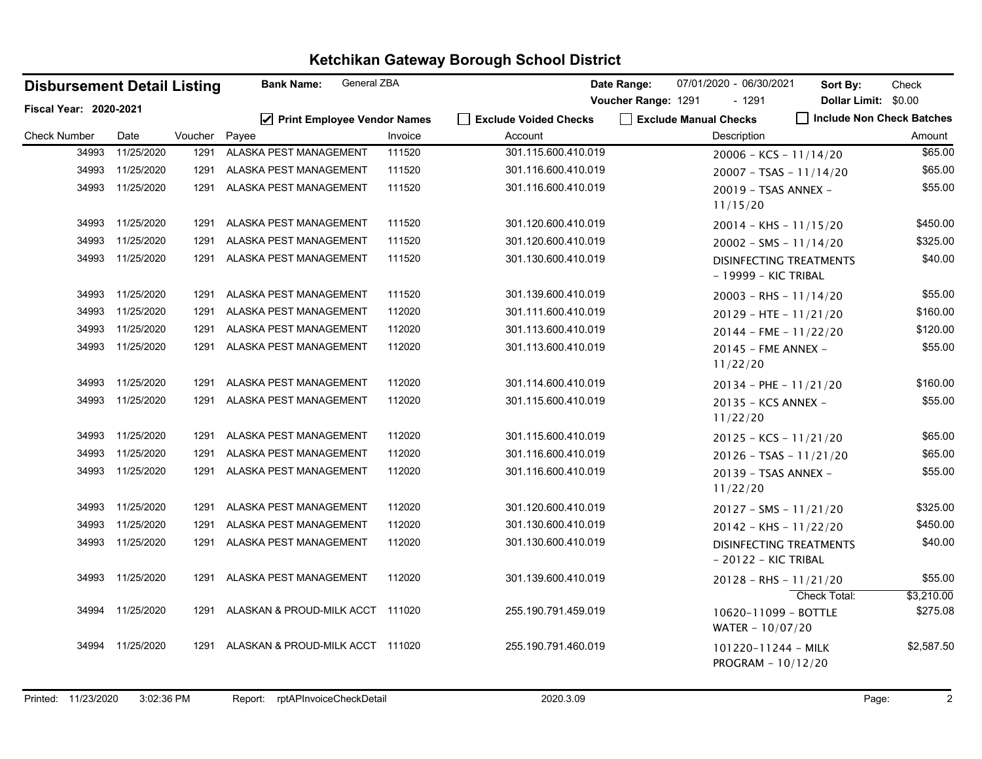|                        | <b>Bank Name:</b><br><b>Disbursement Detail Listing</b> |         |                                  | <b>General ZBA</b> |                       | Date Range:         | 07/01/2020 - 06/30/2021                                | Sort By:                  | Check                  |
|------------------------|---------------------------------------------------------|---------|----------------------------------|--------------------|-----------------------|---------------------|--------------------------------------------------------|---------------------------|------------------------|
| Fiscal Year: 2020-2021 |                                                         |         |                                  |                    |                       | Voucher Range: 1291 | - 1291                                                 | Dollar Limit: \$0.00      |                        |
|                        |                                                         |         | ☑ Print Employee Vendor Names    |                    | Exclude Voided Checks |                     | Exclude Manual Checks                                  | Include Non Check Batches |                        |
| <b>Check Number</b>    | Date                                                    | Voucher | Payee                            | Invoice            | Account               |                     | Description                                            |                           | Amount                 |
| 34993                  | 11/25/2020                                              | 1291    | ALASKA PEST MANAGEMENT           | 111520             | 301.115.600.410.019   |                     | $20006 - KCS - 11/14/20$                               |                           | \$65.00                |
|                        | 34993 11/25/2020                                        | 1291    | ALASKA PEST MANAGEMENT           | 111520             | 301.116.600.410.019   |                     | $20007 - TSAS - 11/14/20$                              |                           | \$65.00                |
|                        | 34993 11/25/2020                                        | 1291    | ALASKA PEST MANAGEMENT           | 111520             | 301.116.600.410.019   |                     | 20019 - TSAS ANNEX -<br>11/15/20                       |                           | \$55.00                |
| 34993                  | 11/25/2020                                              | 1291    | ALASKA PEST MANAGEMENT           | 111520             | 301.120.600.410.019   |                     | $20014 - KHS - 11/15/20$                               |                           | \$450.00               |
| 34993                  | 11/25/2020                                              | 1291    | ALASKA PEST MANAGEMENT           | 111520             | 301.120.600.410.019   |                     | $20002 - SMS - 11/14/20$                               |                           | \$325.00               |
|                        | 34993 11/25/2020                                        |         | 1291 ALASKA PEST MANAGEMENT      | 111520             | 301.130.600.410.019   |                     | DISINFECTING TREATMENTS<br>- 19999 - KIC TRIBAL        |                           | \$40.00                |
|                        | 34993 11/25/2020                                        | 1291    | ALASKA PEST MANAGEMENT           | 111520             | 301.139.600.410.019   |                     | $20003 - RHS - 11/14/20$                               |                           | \$55.00                |
| 34993                  | 11/25/2020                                              | 1291    | ALASKA PEST MANAGEMENT           | 112020             | 301.111.600.410.019   |                     | $20129 - HTE - 11/21/20$                               |                           | \$160.00               |
| 34993                  | 11/25/2020                                              | 1291    | ALASKA PEST MANAGEMENT           | 112020             | 301.113.600.410.019   |                     | $20144$ - FME - $11/22/20$                             |                           | \$120.00               |
|                        | 34993 11/25/2020                                        | 1291    | ALASKA PEST MANAGEMENT           | 112020             | 301.113.600.410.019   |                     | 20145 - FME ANNEX -<br>11/22/20                        |                           | \$55.00                |
| 34993                  | 11/25/2020                                              | 1291    | ALASKA PEST MANAGEMENT           | 112020             | 301.114.600.410.019   |                     | $20134 - PHE - 11/21/20$                               |                           | \$160.00               |
| 34993                  | 11/25/2020                                              | 1291    | ALASKA PEST MANAGEMENT           | 112020             | 301.115.600.410.019   |                     | 20135 - KCS ANNEX -<br>11/22/20                        |                           | \$55.00                |
| 34993                  | 11/25/2020                                              | 1291    | ALASKA PEST MANAGEMENT           | 112020             | 301.115.600.410.019   |                     | $20125 - KCS - 11/21/20$                               |                           | \$65.00                |
| 34993                  | 11/25/2020                                              | 1291    | ALASKA PEST MANAGEMENT           | 112020             | 301.116.600.410.019   |                     | $20126 - TSAS - 11/21/20$                              |                           | \$65.00                |
| 34993                  | 11/25/2020                                              | 1291    | ALASKA PEST MANAGEMENT           | 112020             | 301.116.600.410.019   |                     | 20139 - TSAS ANNEX -<br>11/22/20                       |                           | \$55.00                |
| 34993                  | 11/25/2020                                              | 1291    | ALASKA PEST MANAGEMENT           | 112020             | 301.120.600.410.019   |                     | $20127 - SMS - 11/21/20$                               |                           | \$325.00               |
| 34993                  | 11/25/2020                                              | 1291    | ALASKA PEST MANAGEMENT           | 112020             | 301.130.600.410.019   |                     | $20142 - KHS - 11/22/20$                               |                           | \$450.00               |
| 34993                  | 11/25/2020                                              | 1291    | ALASKA PEST MANAGEMENT           | 112020             | 301.130.600.410.019   |                     | <b>DISINFECTING TREATMENTS</b><br>- 20122 - KIC TRIBAL |                           | \$40.00                |
|                        | 34993 11/25/2020                                        | 1291    | ALASKA PEST MANAGEMENT           | 112020             | 301.139.600.410.019   |                     | $20128 - RHS - 11/21/20$                               |                           | \$55.00                |
|                        | 34994 11/25/2020                                        | 1291    | ALASKAN & PROUD-MILK ACCT 111020 |                    | 255.190.791.459.019   |                     | 10620-11099 - BOTTLE<br>WATER - 10/07/20               | Check Total:              | \$3,210.00<br>\$275.08 |
|                        | 34994 11/25/2020                                        | 1291    | ALASKAN & PROUD-MILK ACCT 111020 |                    | 255.190.791.460.019   |                     | 101220-11244 - MILK<br>PROGRAM - 10/12/20              |                           | \$2,587.50             |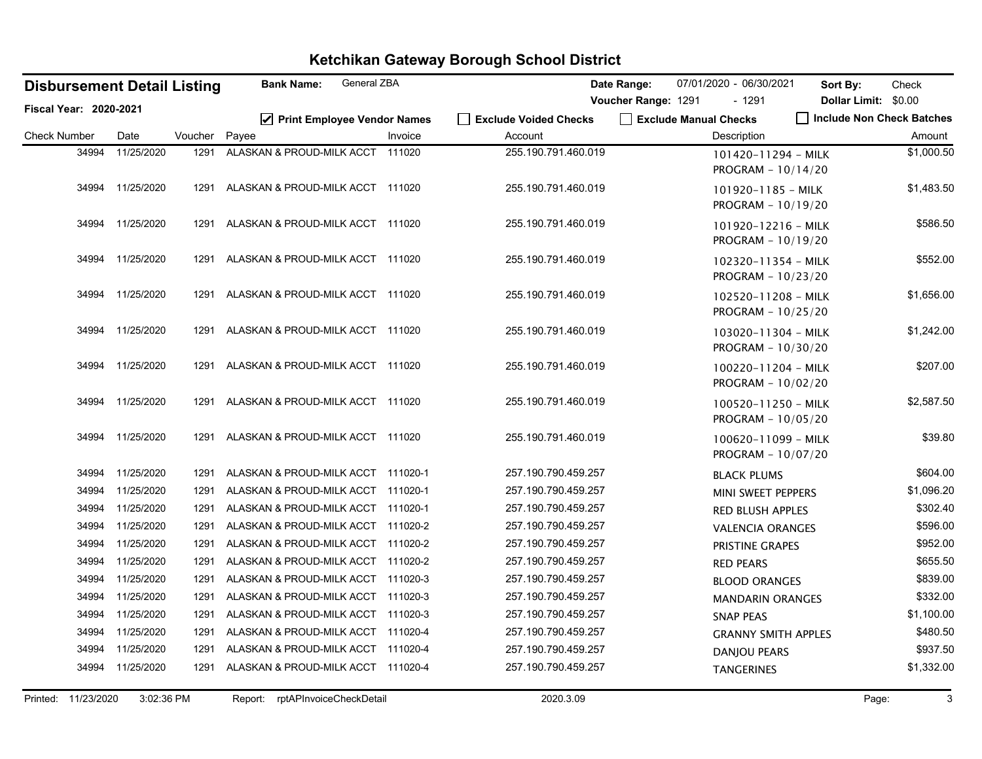| <b>Disbursement Detail Listing</b> |                  |         | General ZBA<br><b>Bank Name:</b>       |         |                                  | Date Range:         | 07/01/2020 - 06/30/2021                   | Sort By:                  | Check      |
|------------------------------------|------------------|---------|----------------------------------------|---------|----------------------------------|---------------------|-------------------------------------------|---------------------------|------------|
| <b>Fiscal Year: 2020-2021</b>      |                  |         |                                        |         |                                  | Voucher Range: 1291 | $-1291$                                   | Dollar Limit: \$0.00      |            |
| <b>Check Number</b>                | Date             | Voucher | ☑ Print Employee Vendor Names<br>Payee | Invoice | Exclude Voided Checks<br>Account |                     | Exclude Manual Checks<br>Description      | Include Non Check Batches | Amount     |
| 34994                              | 11/25/2020       | 1291    | ALASKAN & PROUD-MILK ACCT 111020       |         | 255.190.791.460.019              |                     | 101420-11294 - MILK<br>PROGRAM - 10/14/20 |                           | \$1,000.50 |
|                                    | 34994 11/25/2020 | 1291    | ALASKAN & PROUD-MILK ACCT 111020       |         | 255.190.791.460.019              |                     | 101920-1185 - MILK<br>PROGRAM - 10/19/20  |                           | \$1,483.50 |
|                                    | 34994 11/25/2020 |         | 1291 ALASKAN & PROUD-MILK ACCT 111020  |         | 255.190.791.460.019              |                     | 101920-12216 - MILK<br>PROGRAM - 10/19/20 |                           | \$586.50   |
|                                    | 34994 11/25/2020 | 1291    | ALASKAN & PROUD-MILK ACCT 111020       |         | 255.190.791.460.019              |                     | 102320-11354 - MILK<br>PROGRAM - 10/23/20 |                           | \$552.00   |
|                                    | 34994 11/25/2020 | 1291    | ALASKAN & PROUD-MILK ACCT 111020       |         | 255.190.791.460.019              |                     | 102520-11208 - MILK<br>PROGRAM - 10/25/20 |                           | \$1,656.00 |
|                                    | 34994 11/25/2020 | 1291    | ALASKAN & PROUD-MILK ACCT 111020       |         | 255.190.791.460.019              |                     | 103020-11304 - MILK<br>PROGRAM - 10/30/20 |                           | \$1,242.00 |
|                                    | 34994 11/25/2020 | 1291    | ALASKAN & PROUD-MILK ACCT 111020       |         | 255.190.791.460.019              |                     | 100220-11204 - MILK<br>PROGRAM - 10/02/20 |                           | \$207.00   |
|                                    | 34994 11/25/2020 | 1291    | ALASKAN & PROUD-MILK ACCT 111020       |         | 255.190.791.460.019              |                     | 100520-11250 - MILK<br>PROGRAM - 10/05/20 |                           | \$2,587.50 |
|                                    | 34994 11/25/2020 |         | 1291 ALASKAN & PROUD-MILK ACCT 111020  |         | 255.190.791.460.019              |                     | 100620-11099 - MILK<br>PROGRAM - 10/07/20 |                           | \$39.80    |
| 34994                              | 11/25/2020       | 1291    | ALASKAN & PROUD-MILK ACCT 111020-1     |         | 257.190.790.459.257              |                     | <b>BLACK PLUMS</b>                        |                           | \$604.00   |
| 34994                              | 11/25/2020       | 1291    | ALASKAN & PROUD-MILK ACCT 111020-1     |         | 257.190.790.459.257              |                     | MINI SWEET PEPPERS                        |                           | \$1,096.20 |
| 34994                              | 11/25/2020       | 1291    | ALASKAN & PROUD-MILK ACCT 111020-1     |         | 257.190.790.459.257              |                     | <b>RED BLUSH APPLES</b>                   |                           | \$302.40   |
| 34994                              | 11/25/2020       | 1291    | ALASKAN & PROUD-MILK ACCT 111020-2     |         | 257.190.790.459.257              |                     | <b>VALENCIA ORANGES</b>                   |                           | \$596.00   |
| 34994                              | 11/25/2020       | 1291    | ALASKAN & PROUD-MILK ACCT 111020-2     |         | 257.190.790.459.257              |                     | PRISTINE GRAPES                           |                           | \$952.00   |
| 34994                              | 11/25/2020       | 1291    | ALASKAN & PROUD-MILK ACCT 111020-2     |         | 257.190.790.459.257              |                     | <b>RED PEARS</b>                          |                           | \$655.50   |
| 34994                              | 11/25/2020       | 1291    | ALASKAN & PROUD-MILK ACCT 111020-3     |         | 257.190.790.459.257              |                     | <b>BLOOD ORANGES</b>                      |                           | \$839.00   |
| 34994                              | 11/25/2020       | 1291    | ALASKAN & PROUD-MILK ACCT 111020-3     |         | 257.190.790.459.257              |                     | <b>MANDARIN ORANGES</b>                   |                           | \$332.00   |
| 34994                              | 11/25/2020       | 1291    | ALASKAN & PROUD-MILK ACCT 111020-3     |         | 257.190.790.459.257              |                     | <b>SNAP PEAS</b>                          |                           | \$1,100.00 |
| 34994                              | 11/25/2020       | 1291    | ALASKAN & PROUD-MILK ACCT 111020-4     |         | 257.190.790.459.257              |                     | <b>GRANNY SMITH APPLES</b>                |                           | \$480.50   |
| 34994                              | 11/25/2020       | 1291    | ALASKAN & PROUD-MILK ACCT 111020-4     |         | 257.190.790.459.257              |                     | <b>DANJOU PEARS</b>                       |                           | \$937.50   |
| 34994                              | 11/25/2020       | 1291    | ALASKAN & PROUD-MILK ACCT 111020-4     |         | 257.190.790.459.257              |                     | <b>TANGERINES</b>                         |                           | \$1,332.00 |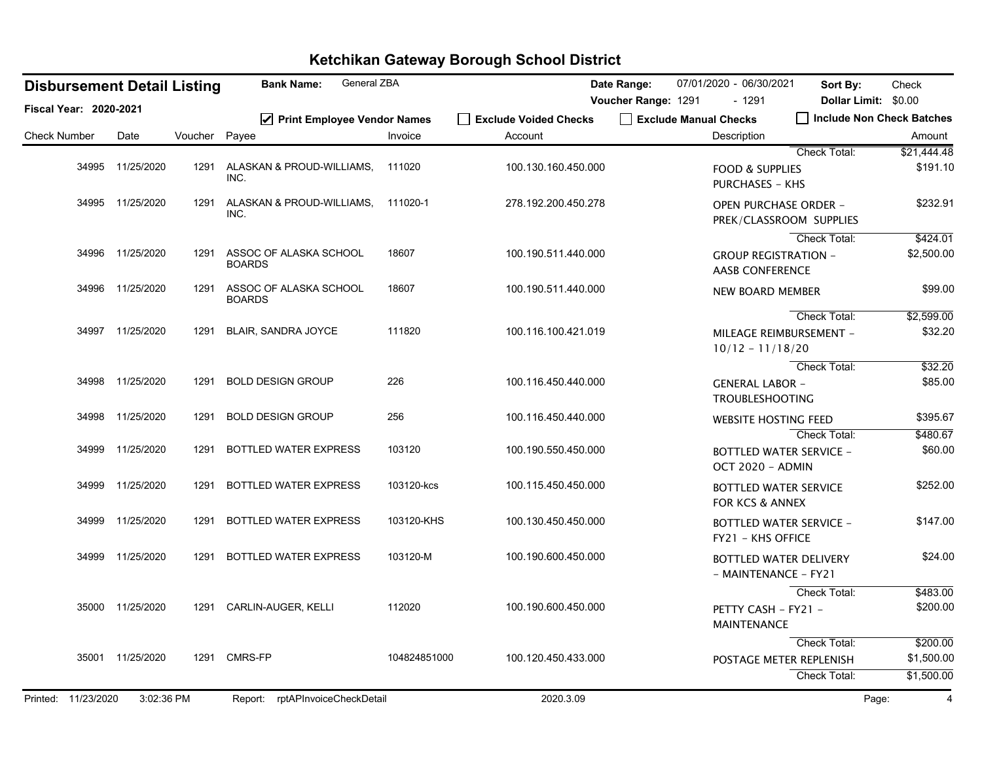| General ZBA<br><b>Bank Name:</b><br><b>Disbursement Detail Listing</b> |                  |         |                                            |              |                                  | Date Range:           | 07/01/2020 - 06/30/2021                                    | Sort By:                                       | Check                                                 |
|------------------------------------------------------------------------|------------------|---------|--------------------------------------------|--------------|----------------------------------|-----------------------|------------------------------------------------------------|------------------------------------------------|-------------------------------------------------------|
| Fiscal Year: 2020-2021                                                 |                  |         |                                            |              |                                  | Voucher Range: 1291   | $-1291$                                                    |                                                | Dollar Limit: \$0.00<br>    Include Non Check Batches |
| <b>Check Number</b>                                                    | Date             | Voucher | ☑ Print Employee Vendor Names<br>Payee     | Invoice      | Exclude Voided Checks<br>Account | Exclude Manual Checks | Description                                                |                                                | Amount                                                |
|                                                                        |                  |         |                                            |              |                                  |                       |                                                            | Check Total:                                   | \$21,444.48                                           |
|                                                                        | 34995 11/25/2020 | 1291    | ALASKAN & PROUD-WILLIAMS,<br>INC.          | 111020       | 100.130.160.450.000              |                       | <b>FOOD &amp; SUPPLIES</b><br><b>PURCHASES - KHS</b>       |                                                | \$191.10                                              |
|                                                                        | 34995 11/25/2020 | 1291    | ALASKAN & PROUD-WILLIAMS, 111020-1<br>INC. |              | 278.192.200.450.278              |                       | <b>OPEN PURCHASE ORDER -</b>                               | PREK/CLASSROOM SUPPLIES                        | \$232.91                                              |
|                                                                        |                  |         |                                            |              |                                  |                       |                                                            | Check Total:                                   | \$424.01                                              |
|                                                                        | 34996 11/25/2020 | 1291    | ASSOC OF ALASKA SCHOOL<br><b>BOARDS</b>    | 18607        | 100.190.511.440.000              |                       | <b>GROUP REGISTRATION -</b><br><b>AASB CONFERENCE</b>      |                                                | \$2,500.00                                            |
|                                                                        | 34996 11/25/2020 | 1291    | ASSOC OF ALASKA SCHOOL<br><b>BOARDS</b>    | 18607        | 100.190.511.440.000              |                       | <b>NEW BOARD MEMBER</b>                                    |                                                | \$99.00                                               |
|                                                                        | 34997 11/25/2020 | 1291    | BLAIR, SANDRA JOYCE                        | 111820       | 100.116.100.421.019              |                       | $10/12 - 11/18/20$                                         | <b>Check Total:</b><br>MILEAGE REIMBURSEMENT - | \$2,599.00<br>\$32.20                                 |
|                                                                        |                  |         |                                            |              |                                  |                       |                                                            | Check Total:                                   | \$32.20                                               |
|                                                                        | 34998 11/25/2020 | 1291    | <b>BOLD DESIGN GROUP</b>                   | 226          | 100.116.450.440.000              |                       | <b>GENERAL LABOR -</b><br><b>TROUBLESHOOTING</b>           |                                                | \$85.00                                               |
| 34998                                                                  | 11/25/2020       | 1291    | <b>BOLD DESIGN GROUP</b>                   | 256          | 100.116.450.440.000              |                       | <b>WEBSITE HOSTING FEED</b>                                |                                                | \$395.67                                              |
|                                                                        |                  |         |                                            |              |                                  |                       |                                                            | Check Total:                                   | \$480.67                                              |
|                                                                        | 34999 11/25/2020 | 1291    | BOTTLED WATER EXPRESS                      | 103120       | 100.190.550.450.000              |                       | OCT 2020 - ADMIN                                           | <b>BOTTLED WATER SERVICE -</b>                 | \$60.00                                               |
|                                                                        | 34999 11/25/2020 | 1291    | <b>BOTTLED WATER EXPRESS</b>               | 103120-kcs   | 100.115.450.450.000              |                       | <b>BOTTLED WATER SERVICE</b><br><b>FOR KCS &amp; ANNEX</b> |                                                | \$252.00                                              |
|                                                                        | 34999 11/25/2020 | 1291    | <b>BOTTLED WATER EXPRESS</b>               | 103120-KHS   | 100.130.450.450.000              |                       | FY21 - KHS OFFICE                                          | <b>BOTTLED WATER SERVICE -</b>                 | \$147.00                                              |
|                                                                        | 34999 11/25/2020 | 1291    | <b>BOTTLED WATER EXPRESS</b>               | 103120-M     | 100.190.600.450.000              |                       | - MAINTENANCE - FY21                                       | BOTTLED WATER DELIVERY                         | \$24.00                                               |
|                                                                        |                  |         |                                            |              |                                  |                       |                                                            | <b>Check Total:</b>                            | \$483.00                                              |
|                                                                        | 35000 11/25/2020 |         | 1291 CARLIN-AUGER, KELLI                   | 112020       | 100.190.600.450.000              |                       | PETTY CASH - FY21 -<br><b>MAINTENANCE</b>                  |                                                | \$200.00                                              |
|                                                                        |                  |         |                                            |              |                                  |                       |                                                            | <b>Check Total:</b>                            | \$200.00                                              |
|                                                                        | 35001 11/25/2020 |         | 1291 CMRS-FP                               | 104824851000 | 100.120.450.433.000              |                       |                                                            | POSTAGE METER REPLENISH                        | \$1,500.00                                            |
|                                                                        |                  |         |                                            |              |                                  |                       |                                                            | Check Total:                                   | \$1,500.00                                            |
| Printed: 11/23/2020                                                    | 3:02:36 PM       |         | Report: rptAPInvoiceCheckDetail            |              | 2020.3.09                        |                       |                                                            |                                                | 4<br>Page:                                            |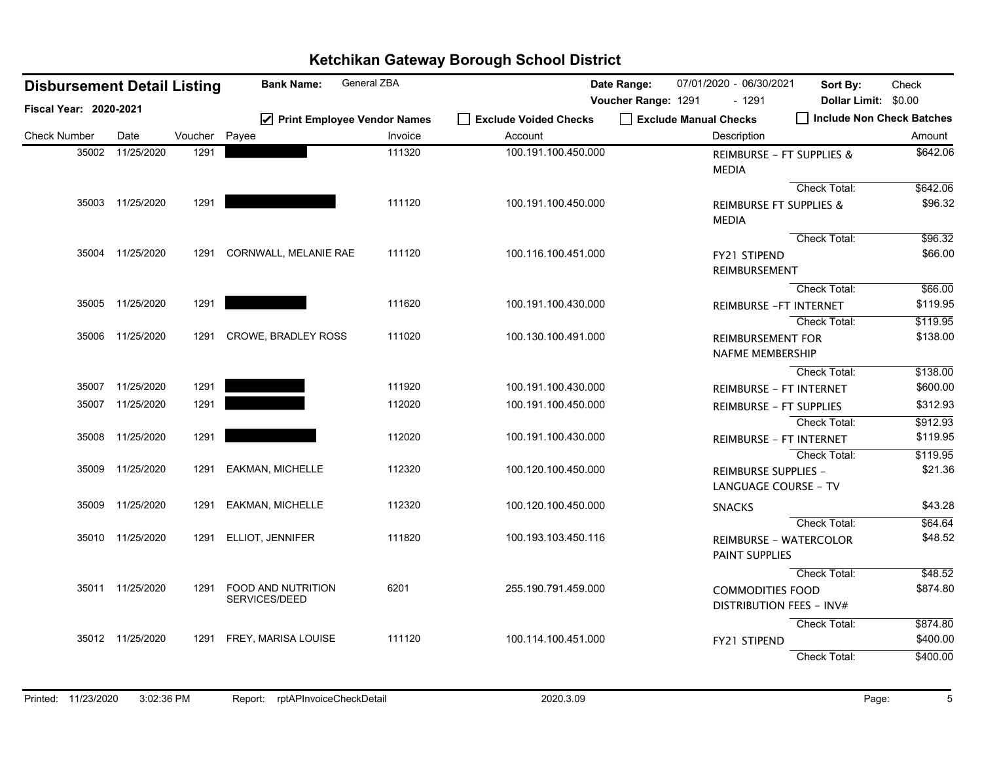| <b>Disbursement Detail Listing</b> |                  |         | <b>Bank Name:</b>                   | General ZBA                   |                       | Date Range:         | 07/01/2020 - 06/30/2021                             | Sort By:                           | Check    |
|------------------------------------|------------------|---------|-------------------------------------|-------------------------------|-----------------------|---------------------|-----------------------------------------------------|------------------------------------|----------|
| Fiscal Year: 2020-2021             |                  |         |                                     |                               |                       | Voucher Range: 1291 | $-1291$                                             | Dollar Limit: \$0.00               |          |
|                                    |                  |         |                                     | ☑ Print Employee Vendor Names | Exclude Voided Checks |                     | Exclude Manual Checks                               | Include Non Check Batches          |          |
| <b>Check Number</b>                | Date             | Voucher | Payee                               | Invoice                       | Account               |                     | Description                                         |                                    | Amount   |
| 35002                              | 11/25/2020       | 1291    |                                     | 111320                        | 100.191.100.450.000   |                     | <b>MEDIA</b>                                        | REIMBURSE - FT SUPPLIES &          | \$642.06 |
|                                    |                  |         |                                     |                               |                       |                     |                                                     | Check Total:                       | \$642.06 |
|                                    | 35003 11/25/2020 | 1291    |                                     | 111120                        | 100.191.100.450.000   |                     | <b>MEDIA</b>                                        | <b>REIMBURSE FT SUPPLIES &amp;</b> | \$96.32  |
|                                    |                  |         |                                     |                               |                       |                     |                                                     | Check Total:                       | \$96.32  |
|                                    | 35004 11/25/2020 | 1291    | CORNWALL, MELANIE RAE               | 111120                        | 100.116.100.451.000   |                     | <b>FY21 STIPEND</b><br>REIMBURSEMENT                |                                    | \$66.00  |
|                                    |                  |         |                                     |                               |                       |                     |                                                     | Check Total:                       | \$66.00  |
|                                    | 35005 11/25/2020 | 1291    |                                     | 111620                        | 100.191.100.430.000   |                     |                                                     | <b>REIMBURSE - FT INTERNET</b>     | \$119.95 |
|                                    |                  |         |                                     |                               |                       |                     |                                                     | Check Total:                       | \$119.95 |
|                                    | 35006 11/25/2020 |         | 1291 CROWE, BRADLEY ROSS            | 111020                        | 100.130.100.491.000   |                     | <b>REIMBURSEMENT FOR</b><br><b>NAFME MEMBERSHIP</b> |                                    | \$138.00 |
|                                    |                  |         |                                     |                               |                       |                     |                                                     | Check Total:                       | \$138.00 |
|                                    | 35007 11/25/2020 | 1291    |                                     | 111920                        | 100.191.100.430.000   |                     |                                                     | <b>REIMBURSE - FT INTERNET</b>     | \$600.00 |
|                                    | 35007 11/25/2020 | 1291    |                                     | 112020                        | 100.191.100.450.000   |                     |                                                     | <b>REIMBURSE - FT SUPPLIES</b>     | \$312.93 |
|                                    |                  |         |                                     |                               |                       |                     |                                                     | <b>Check Total:</b>                | \$912.93 |
|                                    | 35008 11/25/2020 | 1291    |                                     | 112020                        | 100.191.100.430.000   |                     |                                                     | REIMBURSE - FT INTERNET            | \$119.95 |
|                                    |                  |         |                                     |                               |                       |                     |                                                     | Check Total:                       | \$119.95 |
|                                    | 35009 11/25/2020 | 1291    | <b>EAKMAN, MICHELLE</b>             | 112320                        | 100.120.100.450.000   |                     | REIMBURSE SUPPLIES -                                | <b>LANGUAGE COURSE - TV</b>        | \$21.36  |
|                                    | 35009 11/25/2020 | 1291    | <b>EAKMAN, MICHELLE</b>             | 112320                        | 100.120.100.450.000   |                     | <b>SNACKS</b>                                       |                                    | \$43.28  |
|                                    |                  |         |                                     |                               |                       |                     |                                                     | Check Total:                       | \$64.64  |
|                                    | 35010 11/25/2020 |         | 1291 ELLIOT, JENNIFER               | 111820                        | 100.193.103.450.116   |                     | PAINT SUPPLIES                                      | <b>REIMBURSE - WATERCOLOR</b>      | \$48.52  |
|                                    |                  |         |                                     |                               |                       |                     |                                                     | Check Total:                       | \$48.52  |
|                                    | 35011 11/25/2020 | 1291    | FOOD AND NUTRITION<br>SERVICES/DEED | 6201                          | 255.190.791.459.000   |                     | <b>COMMODITIES FOOD</b>                             | DISTRIBUTION FEES - INV#           | \$874.80 |
|                                    |                  |         |                                     |                               |                       |                     |                                                     | Check Total:                       | \$874.80 |
|                                    | 35012 11/25/2020 |         | 1291 FREY, MARISA LOUISE            | 111120                        | 100.114.100.451.000   |                     | FY21 STIPEND                                        |                                    | \$400.00 |
|                                    |                  |         |                                     |                               |                       |                     |                                                     | Check Total:                       | \$400.00 |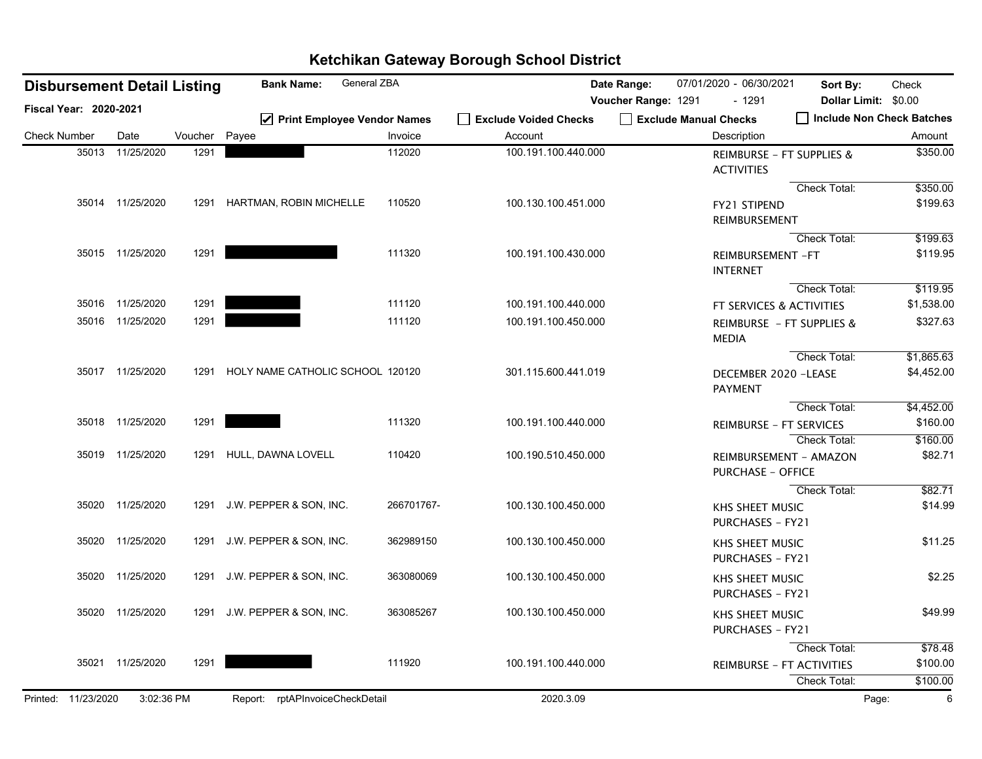| <b>Disbursement Detail Listing</b> |                  |         | General ZBA<br><b>Bank Name:</b>       |            |                                  | Date Range:         | 07/01/2020 - 06/30/2021                            | Sort By:             | Check                     |
|------------------------------------|------------------|---------|----------------------------------------|------------|----------------------------------|---------------------|----------------------------------------------------|----------------------|---------------------------|
| <b>Fiscal Year: 2020-2021</b>      |                  |         |                                        |            |                                  | Voucher Range: 1291 | $-1291$<br>Exclude Manual Checks                   | Dollar Limit: \$0.00 | Include Non Check Batches |
| <b>Check Number</b>                | Date             | Voucher | ☑ Print Employee Vendor Names<br>Payee | Invoice    | Exclude Voided Checks<br>Account |                     | Description                                        |                      | Amount                    |
| 35013                              | 11/25/2020       | 1291    |                                        | 112020     | 100.191.100.440.000              |                     | REIMBURSE - FT SUPPLIES &<br><b>ACTIVITIES</b>     |                      | \$350.00                  |
|                                    |                  |         |                                        |            |                                  |                     |                                                    | Check Total:         | \$350.00                  |
|                                    | 35014 11/25/2020 | 1291    | HARTMAN, ROBIN MICHELLE                | 110520     | 100.130.100.451.000              |                     | <b>FY21 STIPEND</b><br>REIMBURSEMENT               |                      | \$199.63                  |
|                                    |                  |         |                                        |            |                                  |                     |                                                    | Check Total:         | \$199.63                  |
|                                    | 35015 11/25/2020 | 1291    |                                        | 111320     | 100.191.100.430.000              |                     | REIMBURSEMENT-FT<br><b>INTERNET</b>                |                      | \$119.95                  |
|                                    |                  |         |                                        |            |                                  |                     |                                                    | Check Total:         | \$119.95                  |
|                                    | 35016 11/25/2020 | 1291    |                                        | 111120     | 100.191.100.440.000              |                     | FT SERVICES & ACTIVITIES                           |                      | \$1,538.00                |
|                                    | 35016 11/25/2020 | 1291    |                                        | 111120     | 100.191.100.450.000              |                     | REIMBURSE - FT SUPPLIES &<br><b>MEDIA</b>          |                      | \$327.63                  |
|                                    |                  |         |                                        |            |                                  |                     |                                                    | Check Total:         | \$1,865.63                |
|                                    | 35017 11/25/2020 | 1291    | HOLY NAME CATHOLIC SCHOOL 120120       |            | 301.115.600.441.019              |                     | DECEMBER 2020 -LEASE<br><b>PAYMENT</b>             |                      | \$4,452.00                |
|                                    |                  |         |                                        |            |                                  |                     |                                                    | Check Total:         | \$4,452.00                |
|                                    | 35018 11/25/2020 | 1291    |                                        | 111320     | 100.191.100.440.000              |                     | <b>REIMBURSE - FT SERVICES</b>                     |                      | \$160.00                  |
|                                    |                  |         |                                        |            |                                  |                     |                                                    | <b>Check Total:</b>  | \$160.00                  |
|                                    | 35019 11/25/2020 | 1291    | HULL, DAWNA LOVELL                     | 110420     | 100.190.510.450.000              |                     | REIMBURSEMENT - AMAZON<br><b>PURCHASE - OFFICE</b> |                      | \$82.71                   |
|                                    |                  |         |                                        |            |                                  |                     |                                                    | Check Total:         | \$82.71                   |
|                                    | 35020 11/25/2020 | 1291    | J.W. PEPPER & SON, INC.                | 266701767- | 100.130.100.450.000              |                     | <b>KHS SHEET MUSIC</b><br><b>PURCHASES - FY21</b>  |                      | \$14.99                   |
| 35020                              | 11/25/2020       | 1291    | J.W. PEPPER & SON, INC.                | 362989150  | 100.130.100.450.000              |                     | KHS SHEET MUSIC<br><b>PURCHASES - FY21</b>         |                      | \$11.25                   |
| 35020                              | 11/25/2020       | 1291    | J.W. PEPPER & SON, INC.                | 363080069  | 100.130.100.450.000              |                     | KHS SHEET MUSIC<br><b>PURCHASES - FY21</b>         |                      | \$2.25                    |
|                                    | 35020 11/25/2020 | 1291    | J.W. PEPPER & SON, INC.                | 363085267  | 100.130.100.450.000              |                     | KHS SHEET MUSIC<br><b>PURCHASES - FY21</b>         |                      | \$49.99                   |
|                                    |                  |         |                                        |            |                                  |                     |                                                    | Check Total:         | \$78.48                   |
|                                    | 35021 11/25/2020 | 1291    |                                        | 111920     | 100.191.100.440.000              |                     | <b>REIMBURSE - FT ACTIVITIES</b>                   |                      | \$100.00                  |
|                                    |                  |         |                                        |            |                                  |                     |                                                    | Check Total:         | \$100.00                  |
| Printed: 11/23/2020                | 3:02:36 PM       |         | Report: rptAPInvoiceCheckDetail        |            | 2020.3.09                        |                     |                                                    |                      | $6\phantom{1}6$<br>Page:  |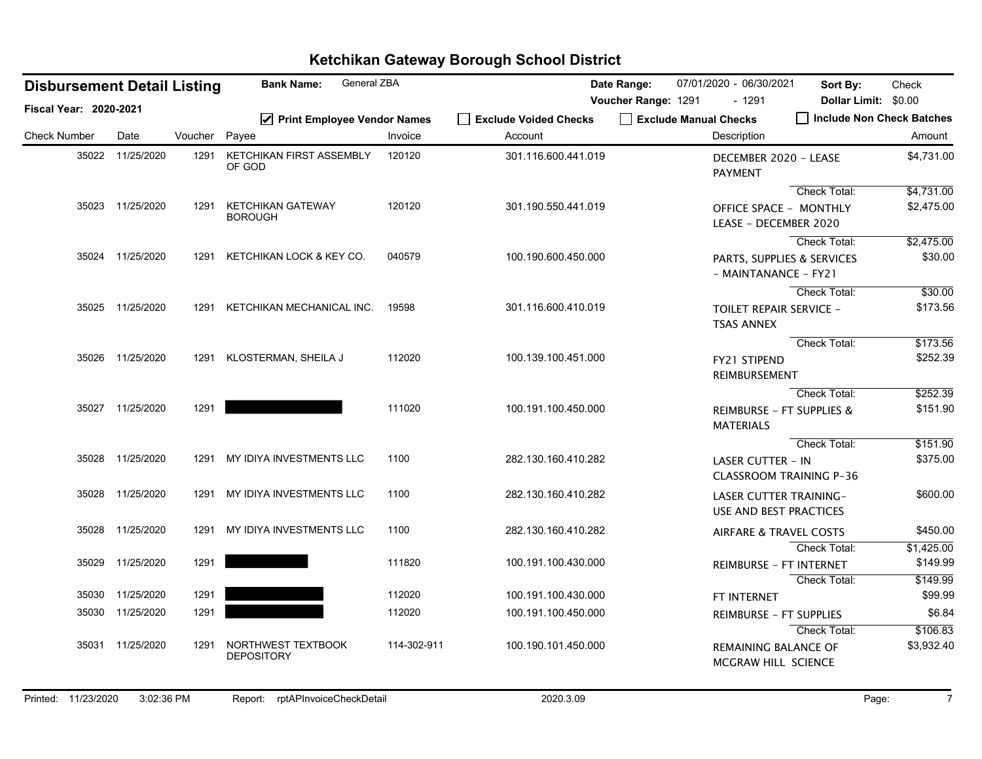| <b>Disbursement Detail Listing</b> |                  |         | General ZBA<br><b>Bank Name:</b>           |             |                       | Date Range:         | 07/01/2020 - 06/30/2021                                        | Sort By:                  | Check      |
|------------------------------------|------------------|---------|--------------------------------------------|-------------|-----------------------|---------------------|----------------------------------------------------------------|---------------------------|------------|
| Fiscal Year: 2020-2021             |                  |         |                                            |             |                       | Voucher Range: 1291 | $-1291$                                                        | Dollar Limit: \$0.00      |            |
|                                    |                  |         | ☑ Print Employee Vendor Names              |             | Exclude Voided Checks |                     | Exclude Manual Checks                                          | Include Non Check Batches |            |
| <b>Check Number</b>                | Date             | Voucher | Payee                                      | Invoice     | Account               |                     | Description                                                    |                           | Amount     |
|                                    | 35022 11/25/2020 | 1291    | <b>KETCHIKAN FIRST ASSEMBLY</b><br>OF GOD  | 120120      | 301.116.600.441.019   |                     | DECEMBER 2020 - LEASE<br><b>PAYMENT</b>                        |                           | \$4,731.00 |
|                                    |                  |         |                                            |             |                       |                     |                                                                | Check Total:              | \$4,731.00 |
|                                    | 35023 11/25/2020 | 1291    | <b>KETCHIKAN GATEWAY</b><br><b>BOROUGH</b> | 120120      | 301.190.550.441.019   |                     | <b>OFFICE SPACE - MONTHLY</b><br>LEASE - DECEMBER 2020         |                           | \$2,475.00 |
|                                    |                  |         |                                            |             |                       |                     |                                                                | Check Total:              | \$2,475.00 |
|                                    | 35024 11/25/2020 | 1291    | KETCHIKAN LOCK & KEY CO.                   | 040579      | 100.190.600.450.000   |                     | PARTS, SUPPLIES & SERVICES<br>- MAINTANANCE - FY21             |                           | \$30.00    |
|                                    |                  |         |                                            |             |                       |                     |                                                                | Check Total:              | \$30.00    |
| 35025                              | 11/25/2020       | 1291    | KETCHIKAN MECHANICAL INC.                  | 19598       | 301.116.600.410.019   |                     | <b>TOILET REPAIR SERVICE -</b><br><b>TSAS ANNEX</b>            |                           | \$173.56   |
|                                    |                  |         |                                            |             |                       |                     |                                                                | Check Total:              | \$173.56   |
|                                    | 35026 11/25/2020 |         | 1291 KLOSTERMAN, SHEILA J                  | 112020      | 100.139.100.451.000   |                     | FY21 STIPEND<br>REIMBURSEMENT                                  |                           | \$252.39   |
|                                    |                  |         |                                            |             |                       |                     |                                                                | <b>Check Total:</b>       | \$252.39   |
|                                    | 35027 11/25/2020 | 1291    |                                            | 111020      | 100.191.100.450.000   |                     | REIMBURSE - FT SUPPLIES &<br><b>MATERIALS</b>                  |                           | \$151.90   |
|                                    |                  |         |                                            |             |                       |                     |                                                                | Check Total:              | \$151.90   |
|                                    | 35028 11/25/2020 | 1291    | MY IDIYA INVESTMENTS LLC                   | 1100        | 282.130.160.410.282   |                     | <b>LASER CUTTER - IN</b><br><b>CLASSROOM TRAINING P-36</b>     |                           | \$375.00   |
| 35028                              | 11/25/2020       | 1291    | MY IDIYA INVESTMENTS LLC                   | 1100        | 282.130.160.410.282   |                     | <b>LASER CUTTER TRAINING-</b><br><b>USE AND BEST PRACTICES</b> |                           | \$600.00   |
| 35028                              | 11/25/2020       | 1291    | MY IDIYA INVESTMENTS LLC                   | 1100        | 282.130.160.410.282   |                     | <b>AIRFARE &amp; TRAVEL COSTS</b>                              |                           | \$450.00   |
|                                    |                  |         |                                            |             |                       |                     |                                                                | <b>Check Total:</b>       | \$1,425.00 |
| 35029                              | 11/25/2020       | 1291    |                                            | 111820      | 100.191.100.430.000   |                     | REIMBURSE - FT INTERNET                                        |                           | \$149.99   |
|                                    |                  |         |                                            |             |                       |                     |                                                                | Check Total:              | \$149.99   |
| 35030                              | 11/25/2020       | 1291    |                                            | 112020      | 100.191.100.430.000   |                     | FT INTERNET                                                    |                           | \$99.99    |
| 35030                              | 11/25/2020       | 1291    |                                            | 112020      | 100.191.100.450.000   |                     | <b>REIMBURSE - FT SUPPLIES</b>                                 |                           | \$6.84     |
|                                    |                  |         |                                            |             |                       |                     |                                                                | Check Total:              | \$106.83   |
| 35031                              | 11/25/2020       | 1291    | NORTHWEST TEXTBOOK<br><b>DEPOSITORY</b>    | 114-302-911 | 100.190.101.450.000   |                     | REMAINING BALANCE OF<br><b>MCGRAW HILL SCIENCE</b>             |                           | \$3,932.40 |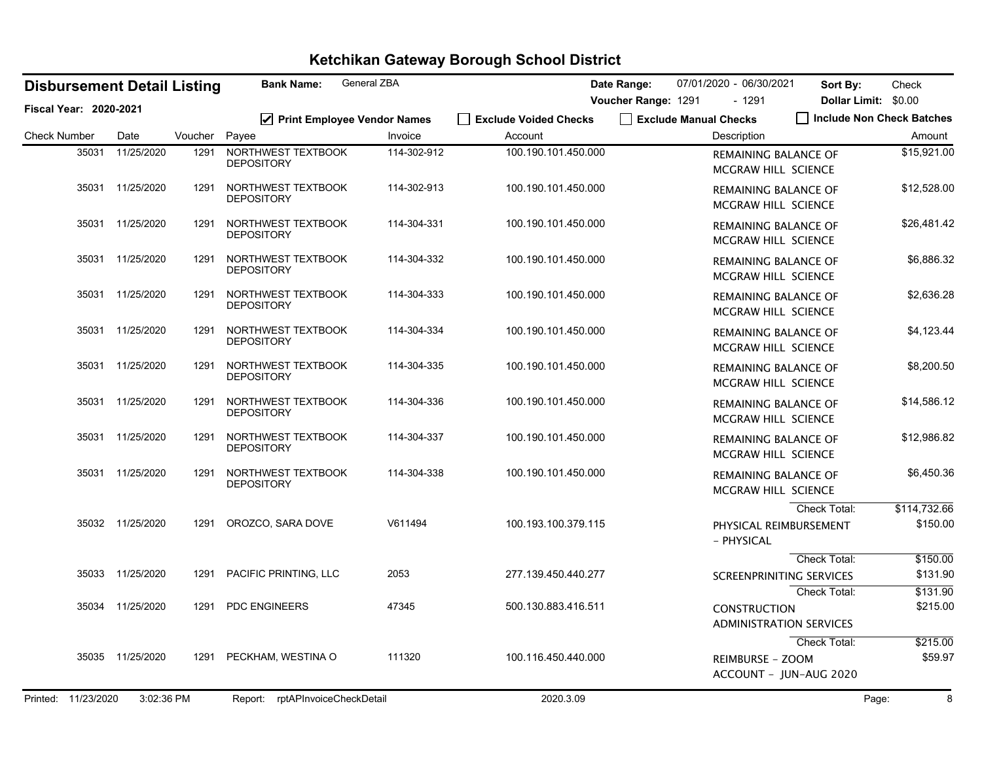| General ZBA<br><b>Bank Name:</b><br><b>Disbursement Detail Listing</b> |                        |                  |         |                                         |             | Date Range:                      | 07/01/2020 - 06/30/2021 | Sort By:                                              | Check                                  |                          |
|------------------------------------------------------------------------|------------------------|------------------|---------|-----------------------------------------|-------------|----------------------------------|-------------------------|-------------------------------------------------------|----------------------------------------|--------------------------|
|                                                                        | Fiscal Year: 2020-2021 |                  |         |                                         |             |                                  | Voucher Range: 1291     | $-1291$                                               | Dollar Limit: \$0.00                   |                          |
| <b>Check Number</b>                                                    |                        | Date             | Voucher | ☑ Print Employee Vendor Names<br>Payee  | Invoice     | Exclude Voided Checks<br>Account |                         | Exclude Manual Checks<br>Description                  | Include Non Check Batches              | Amount                   |
|                                                                        | 35031                  | 11/25/2020       | 1291    | NORTHWEST TEXTBOOK<br><b>DEPOSITORY</b> | 114-302-912 | 100.190.101.450.000              |                         | REMAINING BALANCE OF<br>MCGRAW HILL SCIENCE           |                                        | \$15,921.00              |
|                                                                        |                        | 35031 11/25/2020 | 1291    | NORTHWEST TEXTBOOK<br><b>DEPOSITORY</b> | 114-302-913 | 100.190.101.450.000              |                         | REMAINING BALANCE OF<br>MCGRAW HILL SCIENCE           |                                        | \$12,528.00              |
|                                                                        | 35031                  | 11/25/2020       | 1291    | NORTHWEST TEXTBOOK<br><b>DEPOSITORY</b> | 114-304-331 | 100.190.101.450.000              |                         | <b>REMAINING BALANCE OF</b><br>MCGRAW HILL SCIENCE    |                                        | \$26,481.42              |
|                                                                        | 35031                  | 11/25/2020       | 1291    | NORTHWEST TEXTBOOK<br><b>DEPOSITORY</b> | 114-304-332 | 100.190.101.450.000              |                         | REMAINING BALANCE OF<br>MCGRAW HILL SCIENCE           |                                        | \$6,886.32               |
|                                                                        | 35031                  | 11/25/2020       | 1291    | NORTHWEST TEXTBOOK<br><b>DEPOSITORY</b> | 114-304-333 | 100.190.101.450.000              |                         | <b>REMAINING BALANCE OF</b><br>MCGRAW HILL SCIENCE    |                                        | \$2,636.28               |
|                                                                        |                        | 35031 11/25/2020 | 1291    | NORTHWEST TEXTBOOK<br><b>DEPOSITORY</b> | 114-304-334 | 100.190.101.450.000              |                         | <b>REMAINING BALANCE OF</b><br>MCGRAW HILL SCIENCE    |                                        | \$4,123.44               |
|                                                                        | 35031                  | 11/25/2020       | 1291    | NORTHWEST TEXTBOOK<br><b>DEPOSITORY</b> | 114-304-335 | 100.190.101.450.000              |                         | REMAINING BALANCE OF<br><b>MCGRAW HILL SCIENCE</b>    |                                        | \$8,200.50               |
|                                                                        |                        | 35031 11/25/2020 | 1291    | NORTHWEST TEXTBOOK<br><b>DEPOSITORY</b> | 114-304-336 | 100.190.101.450.000              |                         | REMAINING BALANCE OF<br><b>MCGRAW HILL SCIENCE</b>    |                                        | \$14,586.12              |
|                                                                        | 35031                  | 11/25/2020       | 1291    | NORTHWEST TEXTBOOK<br><b>DEPOSITORY</b> | 114-304-337 | 100.190.101.450.000              |                         | REMAINING BALANCE OF<br>MCGRAW HILL SCIENCE           |                                        | \$12,986.82              |
|                                                                        |                        | 35031 11/25/2020 | 1291    | NORTHWEST TEXTBOOK<br><b>DEPOSITORY</b> | 114-304-338 | 100.190.101.450.000              |                         | REMAINING BALANCE OF<br>MCGRAW HILL SCIENCE           |                                        | \$6,450.36               |
|                                                                        |                        | 35032 11/25/2020 | 1291    | OROZCO, SARA DOVE                       | V611494     | 100.193.100.379.115              |                         | PHYSICAL REIMBURSEMENT<br>- PHYSICAL                  | Check Total:                           | \$114,732.66<br>\$150.00 |
|                                                                        |                        | 35033 11/25/2020 | 1291    | PACIFIC PRINTING, LLC                   | 2053        | 277.139.450.440.277              |                         | <b>SCREENPRINITING SERVICES</b>                       | <b>Check Total:</b>                    | \$150.00<br>\$131.90     |
|                                                                        | 35034                  | 11/25/2020       | 1291    | <b>PDC ENGINEERS</b>                    | 47345       | 500.130.883.416.511              |                         | <b>CONSTRUCTION</b><br><b>ADMINISTRATION SERVICES</b> | Check Total:                           | \$131.90<br>\$215.00     |
|                                                                        |                        | 35035 11/25/2020 | 1291    | PECKHAM, WESTINA O                      | 111320      | 100.116.450.440.000              |                         | REIMBURSE - ZOOM                                      | Check Total:<br>ACCOUNT - JUN-AUG 2020 | \$215.00<br>\$59.97      |
|                                                                        | Printed: 11/23/2020    | 3:02:36 PM       |         | rptAPInvoiceCheckDetail<br>Report:      |             | 2020.3.09                        |                         |                                                       |                                        | 8<br>Page:               |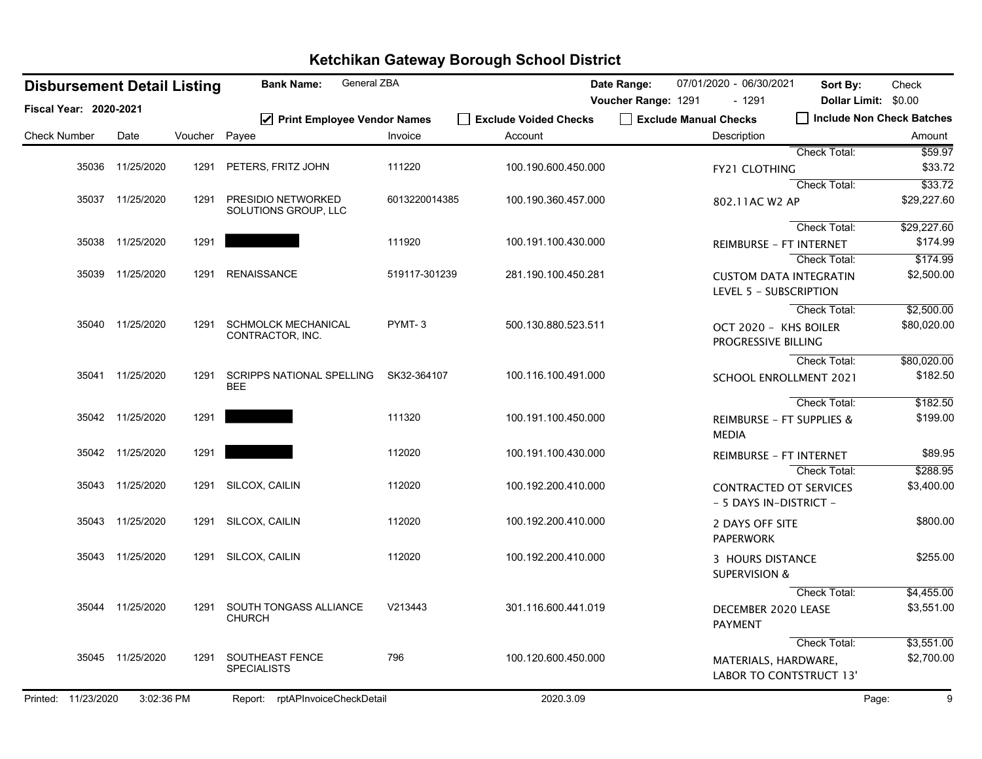| <b>Disbursement Detail Listing</b> |                  |               | General ZBA<br><b>Bank Name:</b>               |               |                                  | Date Range:         | 07/01/2020 - 06/30/2021                      | Sort By:                       | Check                               |
|------------------------------------|------------------|---------------|------------------------------------------------|---------------|----------------------------------|---------------------|----------------------------------------------|--------------------------------|-------------------------------------|
| Fiscal Year: 2020-2021             |                  |               |                                                |               |                                  | Voucher Range: 1291 | - 1291                                       | Dollar Limit: \$0.00           |                                     |
| <b>Check Number</b>                | Date             | Voucher Payee | Print Employee Vendor Names                    | Invoice       | Exclude Voided Checks<br>Account |                     | Exclude Manual Checks<br>Description         |                                | Include Non Check Batches<br>Amount |
|                                    |                  |               |                                                |               |                                  |                     |                                              | <b>Check Total:</b>            | 559.97                              |
|                                    | 35036 11/25/2020 | 1291          | PETERS, FRITZ JOHN                             | 111220        | 100.190.600.450.000              |                     | <b>FY21 CLOTHING</b>                         |                                | \$33.72                             |
|                                    |                  |               |                                                |               |                                  |                     |                                              | Check Total:                   | \$33.72                             |
|                                    | 35037 11/25/2020 | 1291          | PRESIDIO NETWORKED<br>SOLUTIONS GROUP, LLC     | 6013220014385 | 100.190.360.457.000              |                     | 802.11AC W2 AP                               |                                | \$29,227.60                         |
|                                    |                  |               |                                                |               |                                  |                     |                                              | Check Total:                   | \$29,227.60                         |
|                                    | 35038 11/25/2020 | 1291          |                                                | 111920        | 100.191.100.430.000              |                     | <b>REIMBURSE - FT INTERNET</b>               |                                | \$174.99                            |
|                                    |                  |               |                                                |               |                                  |                     |                                              | Check Total:                   | \$174.99                            |
|                                    | 35039 11/25/2020 | 1291          | <b>RENAISSANCE</b>                             | 519117-301239 | 281.190.100.450.281              |                     | LEVEL 5 - SUBSCRIPTION                       | <b>CUSTOM DATA INTEGRATIN</b>  | \$2,500.00                          |
|                                    |                  |               |                                                |               |                                  |                     |                                              | Check Total:                   | \$2,500.00                          |
|                                    | 35040 11/25/2020 | 1291          | <b>SCHMOLCK MECHANICAL</b><br>CONTRACTOR, INC. | PYMT-3        | 500.130.880.523.511              |                     | OCT 2020 - KHS BOILER<br>PROGRESSIVE BILLING |                                | \$80,020.00                         |
|                                    |                  |               |                                                |               |                                  |                     |                                              | Check Total:                   | \$80,020.00                         |
|                                    | 35041 11/25/2020 | 1291          | <b>SCRIPPS NATIONAL SPELLING</b><br><b>BEE</b> | SK32-364107   | 100.116.100.491.000              |                     |                                              | <b>SCHOOL ENROLLMENT 2021</b>  | \$182.50                            |
|                                    |                  |               |                                                |               |                                  |                     |                                              | Check Total:                   | \$182.50                            |
|                                    | 35042 11/25/2020 | 1291          |                                                | 111320        | 100.191.100.450.000              |                     | <b>MEDIA</b>                                 | REIMBURSE - FT SUPPLIES &      | \$199.00                            |
|                                    | 35042 11/25/2020 | 1291          |                                                | 112020        | 100.191.100.430.000              |                     | <b>REIMBURSE - FT INTERNET</b>               |                                | \$89.95                             |
|                                    |                  |               |                                                |               |                                  |                     |                                              | Check Total:                   | \$288.95                            |
|                                    | 35043 11/25/2020 | 1291          | SILCOX, CAILIN                                 | 112020        | 100.192.200.410.000              |                     | - 5 DAYS IN-DISTRICT -                       | <b>CONTRACTED OT SERVICES</b>  | \$3,400.00                          |
|                                    | 35043 11/25/2020 | 1291          | SILCOX, CAILIN                                 | 112020        | 100.192.200.410.000              |                     | 2 DAYS OFF SITE<br><b>PAPERWORK</b>          |                                | \$800.00                            |
|                                    | 35043 11/25/2020 | 1291          | SILCOX, CAILIN                                 | 112020        | 100.192.200.410.000              |                     | 3 HOURS DISTANCE<br><b>SUPERVISION &amp;</b> |                                | \$255.00                            |
|                                    |                  |               |                                                |               |                                  |                     |                                              | Check Total:                   | \$4,455.00                          |
|                                    | 35044 11/25/2020 | 1291          | SOUTH TONGASS ALLIANCE<br><b>CHURCH</b>        | V213443       | 301.116.600.441.019              |                     | DECEMBER 2020 LEASE<br><b>PAYMENT</b>        |                                | \$3,551.00                          |
|                                    |                  |               |                                                |               |                                  |                     |                                              | Check Total:                   | \$3,551.00                          |
|                                    | 35045 11/25/2020 | 1291          | SOUTHEAST FENCE<br><b>SPECIALISTS</b>          | 796           | 100.120.600.450.000              |                     | MATERIALS, HARDWARE,                         | <b>LABOR TO CONTSTRUCT 13'</b> | \$2,700.00                          |
| Printed: 11/23/2020                | 3:02:36 PM       |               | Report: rptAPInvoiceCheckDetail                |               | 2020.3.09                        |                     |                                              |                                | Page:<br>9                          |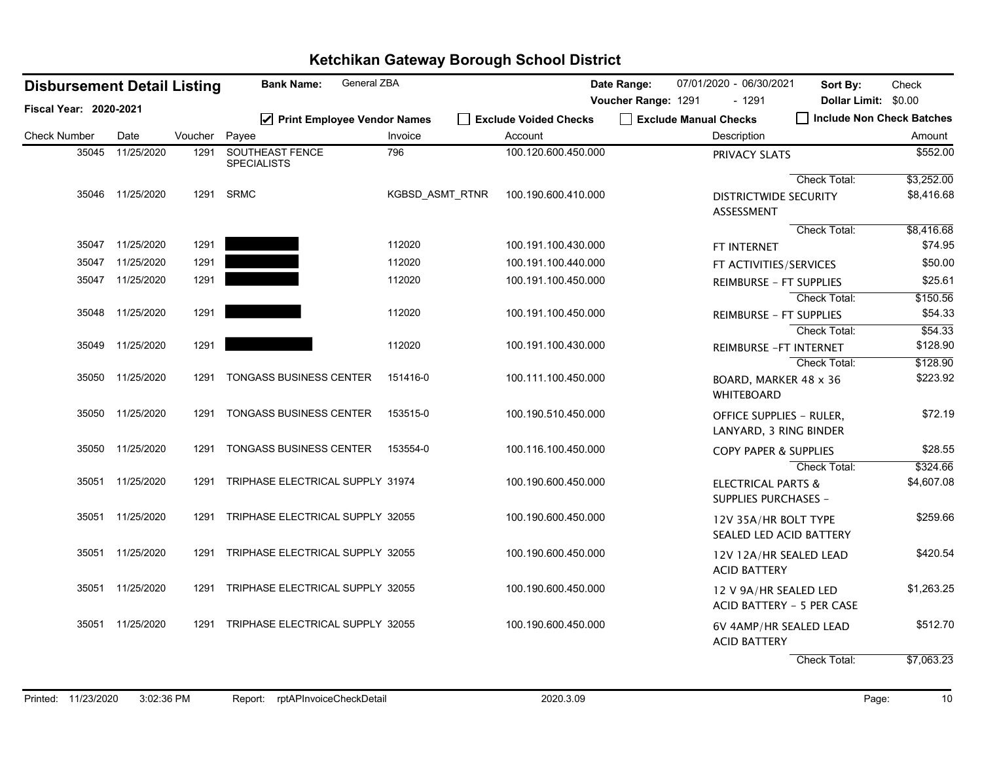| <b>Disbursement Detail Listing</b> |                  |         | General ZBA<br><b>Bank Name:</b>       |                 |                                  | Date Range:         | 07/01/2020 - 06/30/2021                                   | Sort By:                  | Check                |
|------------------------------------|------------------|---------|----------------------------------------|-----------------|----------------------------------|---------------------|-----------------------------------------------------------|---------------------------|----------------------|
| Fiscal Year: 2020-2021             |                  |         |                                        |                 |                                  | Voucher Range: 1291 | - 1291                                                    | Dollar Limit: \$0.00      |                      |
| <b>Check Number</b>                | Date             | Voucher | ☑ Print Employee Vendor Names<br>Payee | Invoice         | Exclude Voided Checks<br>Account |                     | Exclude Manual Checks<br>Description                      | Include Non Check Batches | Amount               |
|                                    |                  |         |                                        |                 |                                  |                     |                                                           |                           |                      |
| 35045                              | 11/25/2020       | 1291    | SOUTHEAST FENCE<br><b>SPECIALISTS</b>  | 796             | 100.120.600.450.000              |                     | PRIVACY SLATS                                             |                           | \$552.00             |
|                                    |                  |         |                                        |                 |                                  |                     |                                                           | Check Total:              | \$3,252.00           |
|                                    | 35046 11/25/2020 | 1291    | <b>SRMC</b>                            | KGBSD ASMT RTNR | 100.190.600.410.000              |                     | <b>DISTRICTWIDE SECURITY</b><br>ASSESSMENT                |                           | \$8,416.68           |
|                                    |                  |         |                                        |                 |                                  |                     |                                                           | Check Total:              | \$8,416.68           |
|                                    | 35047 11/25/2020 | 1291    |                                        | 112020          | 100.191.100.430.000              |                     | FT INTERNET                                               |                           | \$74.95              |
| 35047                              | 11/25/2020       | 1291    |                                        | 112020          | 100.191.100.440.000              |                     | FT ACTIVITIES/SERVICES                                    |                           | \$50.00              |
|                                    | 35047 11/25/2020 | 1291    |                                        | 112020          | 100.191.100.450.000              |                     | <b>REIMBURSE - FT SUPPLIES</b>                            |                           | \$25.61              |
|                                    |                  |         |                                        |                 |                                  |                     |                                                           | Check Total:              | \$150.56             |
|                                    | 35048 11/25/2020 | 1291    |                                        | 112020          | 100.191.100.450.000              |                     | <b>REIMBURSE - FT SUPPLIES</b>                            |                           | \$54.33              |
|                                    |                  |         |                                        |                 |                                  |                     |                                                           | Check Total:              | \$54.33              |
|                                    | 35049 11/25/2020 | 1291    |                                        | 112020          | 100.191.100.430.000              |                     |                                                           | REIMBURSE - FT INTERNET   | \$128.90             |
|                                    | 35050 11/25/2020 | 1291    | <b>TONGASS BUSINESS CENTER</b>         | 151416-0        | 100.111.100.450.000              |                     | BOARD, MARKER 48 x 36                                     | Check Total:              | \$128.90<br>\$223.92 |
|                                    |                  |         |                                        |                 |                                  |                     | <b>WHITEBOARD</b>                                         |                           |                      |
|                                    | 35050 11/25/2020 | 1291    | TONGASS BUSINESS CENTER                | 153515-0        | 100.190.510.450.000              |                     | <b>OFFICE SUPPLIES - RULER,</b><br>LANYARD, 3 RING BINDER |                           | \$72.19              |
|                                    | 35050 11/25/2020 | 1291    | <b>TONGASS BUSINESS CENTER</b>         | 153554-0        | 100.116.100.450.000              |                     | <b>COPY PAPER &amp; SUPPLIES</b>                          |                           | \$28.55              |
|                                    |                  |         |                                        |                 |                                  |                     |                                                           | <b>Check Total:</b>       | \$324.66             |
|                                    | 35051 11/25/2020 | 1291    | TRIPHASE ELECTRICAL SUPPLY 31974       |                 | 100.190.600.450.000              |                     | <b>ELECTRICAL PARTS &amp;</b><br>SUPPLIES PURCHASES -     |                           | \$4,607.08           |
|                                    | 35051 11/25/2020 | 1291    | TRIPHASE ELECTRICAL SUPPLY 32055       |                 | 100.190.600.450.000              |                     | 12V 35A/HR BOLT TYPE                                      | SEALED LED ACID BATTERY   | \$259.66             |
|                                    | 35051 11/25/2020 | 1291    | TRIPHASE ELECTRICAL SUPPLY 32055       |                 | 100.190.600.450.000              |                     | <b>ACID BATTERY</b>                                       | 12V 12A/HR SEALED LEAD    | \$420.54             |
|                                    | 35051 11/25/2020 | 1291    | TRIPHASE ELECTRICAL SUPPLY 32055       |                 | 100.190.600.450.000              |                     | 12 V 9A/HR SEALED LED                                     | ACID BATTERY - 5 PER CASE | \$1,263.25           |
|                                    | 35051 11/25/2020 | 1291    | TRIPHASE ELECTRICAL SUPPLY 32055       |                 | 100.190.600.450.000              |                     | <b>ACID BATTERY</b>                                       | 6V 4AMP/HR SEALED LEAD    | \$512.70             |
|                                    |                  |         |                                        |                 |                                  |                     |                                                           | Check Total:              | \$7,063.23           |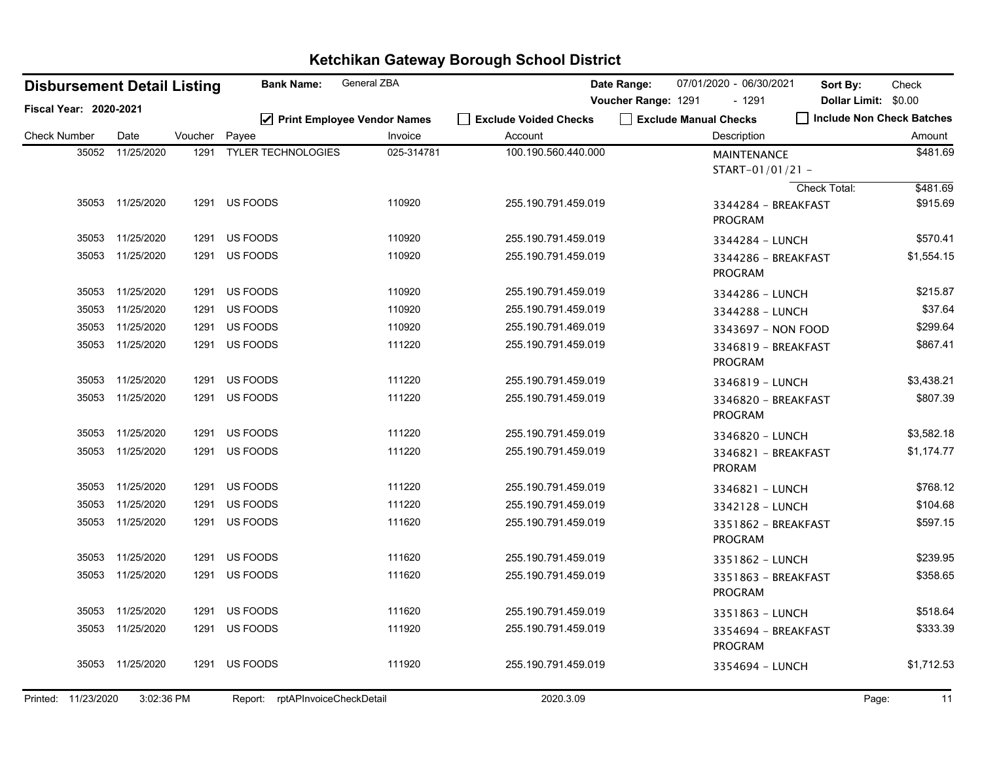|                        |       | <b>Disbursement Detail Listing</b> |         | <b>Bank Name:</b>                  | <b>General ZBA</b>                       |                                  | Date Range:         | 07/01/2020 - 06/30/2021                | Sort By:            | Check                                             |
|------------------------|-------|------------------------------------|---------|------------------------------------|------------------------------------------|----------------------------------|---------------------|----------------------------------------|---------------------|---------------------------------------------------|
| Fiscal Year: 2020-2021 |       |                                    |         |                                    |                                          |                                  | Voucher Range: 1291 | $-1291$<br>Exclude Manual Checks       |                     | Dollar Limit: \$0.00<br>Include Non Check Batches |
| <b>Check Number</b>    |       | Date                               | Voucher | Payee                              | ☑ Print Employee Vendor Names<br>Invoice | Exclude Voided Checks<br>Account |                     | Description                            |                     | Amount                                            |
|                        | 35052 | 11/25/2020                         | 1291    | <b>TYLER TECHNOLOGIES</b>          | 025-314781                               | 100.190.560.440.000              |                     | <b>MAINTENANCE</b><br>START-01/01/21 - |                     | \$481.69                                          |
|                        |       | 35053 11/25/2020                   |         | 1291 US FOODS                      | 110920                                   | 255.190.791.459.019              |                     | 3344284 - BREAKFAST<br><b>PROGRAM</b>  | <b>Check Total:</b> | \$481.69<br>\$915.69                              |
|                        |       | 35053 11/25/2020                   | 1291    | US FOODS                           | 110920                                   | 255.190.791.459.019              |                     | 3344284 - LUNCH                        |                     | \$570.41                                          |
|                        | 35053 | 11/25/2020                         | 1291    | US FOODS                           | 110920                                   | 255.190.791.459.019              |                     | 3344286 - BREAKFAST<br><b>PROGRAM</b>  |                     | \$1,554.15                                        |
|                        |       | 35053 11/25/2020                   | 1291    | US FOODS                           | 110920                                   | 255.190.791.459.019              |                     | 3344286 - LUNCH                        |                     | \$215.87                                          |
|                        | 35053 | 11/25/2020                         | 1291    | US FOODS                           | 110920                                   | 255.190.791.459.019              |                     | 3344288 - LUNCH                        |                     | \$37.64                                           |
|                        |       | 35053 11/25/2020                   | 1291    | US FOODS                           | 110920                                   | 255.190.791.469.019              |                     | 3343697 - NON FOOD                     |                     | \$299.64                                          |
|                        |       | 35053 11/25/2020                   | 1291    | US FOODS                           | 111220                                   | 255.190.791.459.019              |                     | 3346819 - BREAKFAST<br><b>PROGRAM</b>  |                     | \$867.41                                          |
|                        |       | 35053 11/25/2020                   | 1291    | US FOODS                           | 111220                                   | 255.190.791.459.019              |                     | 3346819 - LUNCH                        |                     | \$3,438.21                                        |
|                        | 35053 | 11/25/2020                         | 1291    | US FOODS                           | 111220                                   | 255.190.791.459.019              |                     | 3346820 - BREAKFAST<br><b>PROGRAM</b>  |                     | \$807.39                                          |
|                        | 35053 | 11/25/2020                         | 1291    | US FOODS                           | 111220                                   | 255.190.791.459.019              |                     | 3346820 - LUNCH                        |                     | \$3,582.18                                        |
|                        |       | 35053 11/25/2020                   | 1291    | US FOODS                           | 111220                                   | 255.190.791.459.019              |                     | 3346821 - BREAKFAST<br><b>PRORAM</b>   |                     | \$1,174.77                                        |
|                        |       | 35053 11/25/2020                   | 1291    | US FOODS                           | 111220                                   | 255.190.791.459.019              |                     | 3346821 - LUNCH                        |                     | \$768.12                                          |
|                        | 35053 | 11/25/2020                         | 1291    | US FOODS                           | 111220                                   | 255.190.791.459.019              |                     | 3342128 - LUNCH                        |                     | \$104.68                                          |
|                        |       | 35053 11/25/2020                   | 1291    | US FOODS                           | 111620                                   | 255.190.791.459.019              |                     | 3351862 - BREAKFAST<br><b>PROGRAM</b>  |                     | \$597.15                                          |
|                        |       | 35053 11/25/2020                   | 1291    | US FOODS                           | 111620                                   | 255.190.791.459.019              |                     | 3351862 - LUNCH                        |                     | \$239.95                                          |
|                        |       | 35053 11/25/2020                   | 1291    | US FOODS                           | 111620                                   | 255.190.791.459.019              |                     | 3351863 - BREAKFAST<br><b>PROGRAM</b>  |                     | \$358.65                                          |
|                        | 35053 | 11/25/2020                         | 1291    | US FOODS                           | 111620                                   | 255.190.791.459.019              |                     | 3351863 - LUNCH                        |                     | \$518.64                                          |
|                        | 35053 | 11/25/2020                         | 1291    | US FOODS                           | 111920                                   | 255.190.791.459.019              |                     | 3354694 - BREAKFAST<br><b>PROGRAM</b>  |                     | \$333.39                                          |
|                        |       | 35053 11/25/2020                   | 1291    | US FOODS                           | 111920                                   | 255.190.791.459.019              |                     | 3354694 - LUNCH                        |                     | \$1,712.53                                        |
| Printed: 11/23/2020    |       | 3:02:36 PM                         |         | rptAPInvoiceCheckDetail<br>Report: |                                          | 2020.3.09                        |                     |                                        |                     | 11<br>Page:                                       |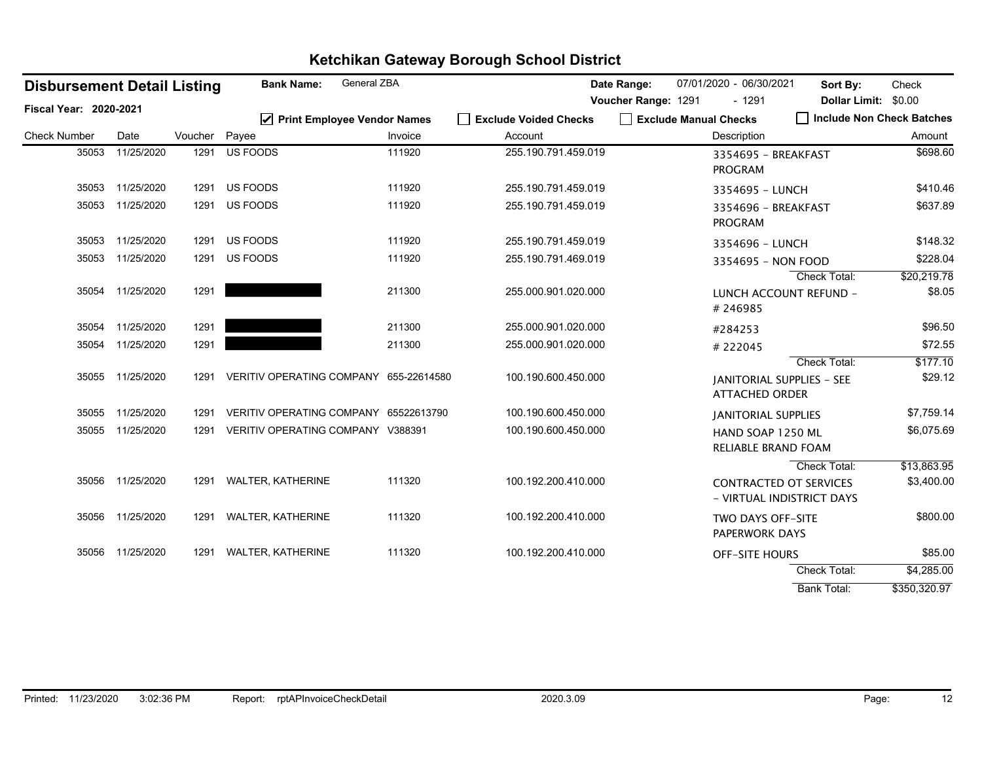| <b>Disbursement Detail Listing</b> |            | <b>General ZBA</b><br><b>Bank Name:</b> |                                        |         | Date Range:           | 07/01/2020 - 06/30/2021 | Sort By:                                                   | Check                       |                           |
|------------------------------------|------------|-----------------------------------------|----------------------------------------|---------|-----------------------|-------------------------|------------------------------------------------------------|-----------------------------|---------------------------|
| <b>Fiscal Year: 2020-2021</b>      |            |                                         |                                        |         |                       | Voucher Range: 1291     | $-1291$                                                    | <b>Dollar Limit:</b>        | \$0.00                    |
|                                    |            |                                         | ☑ Print Employee Vendor Names          |         | Exclude Voided Checks |                         | Exclude Manual Checks                                      | □ Include Non Check Batches |                           |
| <b>Check Number</b>                | Date       | Voucher Payee                           |                                        | Invoice | Account               |                         | Description                                                |                             | Amount                    |
| 35053                              | 11/25/2020 | 1291                                    | US FOODS                               | 111920  | 255.190.791.459.019   |                         | 3354695 - BREAKFAST<br><b>PROGRAM</b>                      |                             | \$698.60                  |
| 35053                              | 11/25/2020 | 1291                                    | US FOODS                               | 111920  | 255.190.791.459.019   |                         | 3354695 - LUNCH                                            |                             | \$410.46                  |
| 35053                              | 11/25/2020 | 1291                                    | US FOODS                               | 111920  | 255.190.791.459.019   |                         | 3354696 - BREAKFAST<br><b>PROGRAM</b>                      |                             | \$637.89                  |
| 35053                              | 11/25/2020 | 1291                                    | US FOODS                               | 111920  | 255.190.791.459.019   |                         | 3354696 - LUNCH                                            |                             | \$148.32                  |
| 35053                              | 11/25/2020 | 1291                                    | US FOODS                               | 111920  | 255.190.791.469.019   |                         | 3354695 - NON FOOD                                         | Check Total:                | \$228.04<br>\$20,219.78   |
| 35054                              | 11/25/2020 | 1291                                    |                                        | 211300  | 255.000.901.020.000   |                         | LUNCH ACCOUNT REFUND -<br>#246985                          |                             | \$8.05                    |
| 35054                              | 11/25/2020 | 1291                                    |                                        | 211300  | 255.000.901.020.000   |                         | #284253                                                    |                             | \$96.50                   |
| 35054                              | 11/25/2020 | 1291                                    |                                        | 211300  | 255.000.901.020.000   |                         | #222045                                                    |                             | \$72.55                   |
|                                    |            |                                         |                                        |         |                       |                         |                                                            | <b>Check Total:</b>         | \$177.10                  |
| 35055                              | 11/25/2020 | 1291                                    | VERITIV OPERATING COMPANY 655-22614580 |         | 100.190.600.450.000   |                         | <b>IANITORIAL SUPPLIES - SEE</b><br><b>ATTACHED ORDER</b>  |                             | \$29.12                   |
| 35055                              | 11/25/2020 | 1291                                    | VERITIV OPERATING COMPANY 65522613790  |         | 100.190.600.450.000   |                         | <b>JANITORIAL SUPPLIES</b>                                 |                             | \$7,759.14                |
| 35055                              | 11/25/2020 | 1291                                    | VERITIV OPERATING COMPANY V388391      |         | 100.190.600.450.000   |                         | HAND SOAP 1250 ML<br>RELIABLE BRAND FOAM                   |                             | \$6,075.69                |
| 35056                              | 11/25/2020 | 1291                                    | <b>WALTER, KATHERINE</b>               | 111320  | 100.192.200.410.000   |                         | <b>CONTRACTED OT SERVICES</b><br>- VIRTUAL INDISTRICT DAYS | Check Total:                | \$13,863.95<br>\$3,400.00 |
| 35056                              | 11/25/2020 | 1291                                    | WALTER, KATHERINE                      | 111320  | 100.192.200.410.000   |                         | <b>TWO DAYS OFF-SITE</b><br>PAPERWORK DAYS                 |                             | \$800.00                  |
| 35056                              | 11/25/2020 |                                         | 1291 WALTER, KATHERINE                 | 111320  | 100.192.200.410.000   |                         | <b>OFF-SITE HOURS</b>                                      |                             | \$85.00                   |
|                                    |            |                                         |                                        |         |                       |                         |                                                            | <b>Check Total:</b>         | \$4,285.00                |
|                                    |            |                                         |                                        |         |                       |                         |                                                            | <b>Bank Total:</b>          | \$350,320.97              |